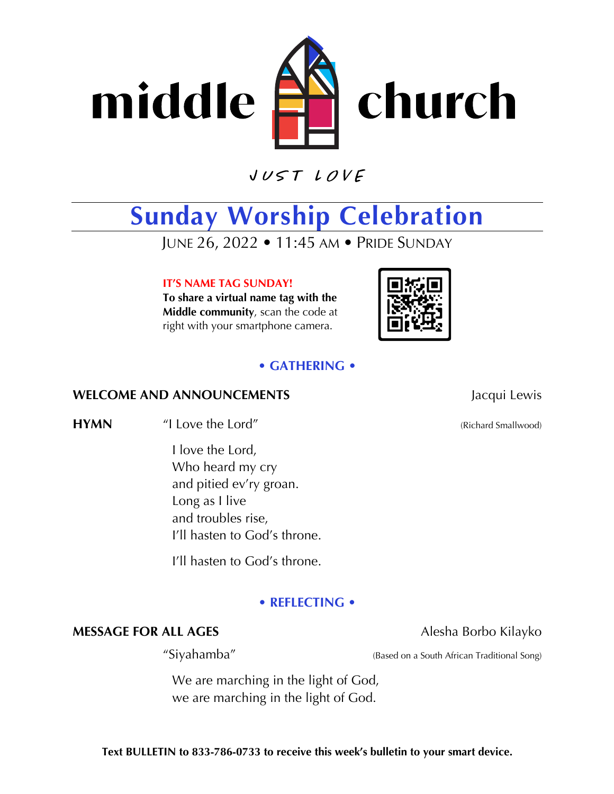

 $VUSTLOVE$ 

# **Sunday Worship Celebration**

JUNE 26, 2022 • 11:45 AM • PRIDE SUNDAY

## **IT'S NAME TAG SUNDAY!**

**To share a virtual name tag with the Middle community**, scan the code at right with your smartphone camera.



# **• GATHERING •**

# **WELCOME AND ANNOUNCEMENTS** Jacqui Lewis

**HYMN** "I Love the Lord" (Richard Smallwood)

I love the Lord, Who heard my cry and pitied ev'ry groan. Long as I live and troubles rise, I'll hasten to God's throne.

I'll hasten to God's throne.

# **• REFLECTING •**

# **MESSAGE FOR ALL AGES** Alesha Borbo Kilayko

We are marching in the light of God, we are marching in the light of God.

"Siyahamba" (Based on a South African Traditional Song)

**Text BULLETIN to 833-786-0733 to receive this week's bulletin to your smart device.**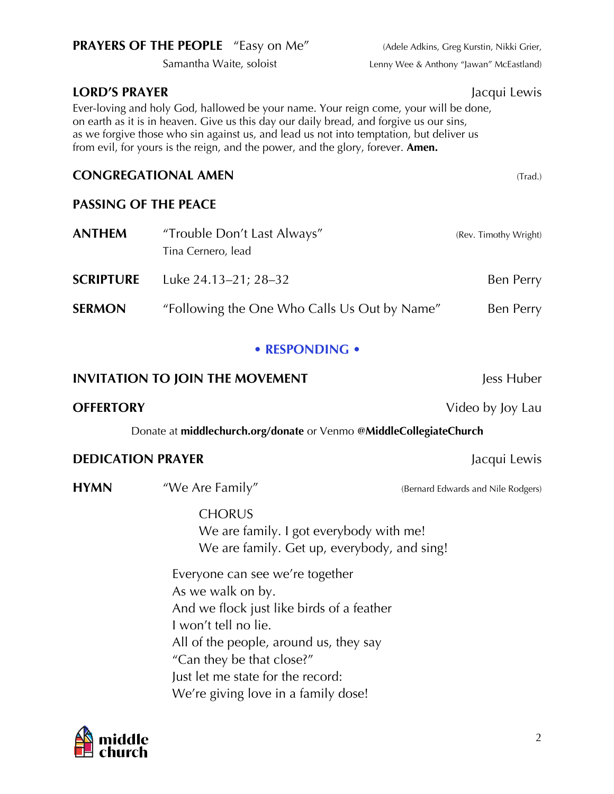# **PRAYERS OF THE PEOPLE** "Easy on Me" (Adele Adkins, Greg Kurstin, Nikki Grier,

# **LORD'S PRAYER** Jacqui Lewis

Ever-loving and holy God, hallowed be your name. Your reign come, your will be done, on earth as it is in heaven. Give us this day our daily bread, and forgive us our sins, as we forgive those who sin against us, and lead us not into temptation, but deliver us from evil, for yours is the reign, and the power, and the glory, forever. **Amen.**

# **CONGREGATIONAL AMEN** (Trad.)

# **PASSING OF THE PEACE**

| <b>ANTHEM</b>    | "Trouble Don't Last Always"                  | (Rev. Timothy Wright) |
|------------------|----------------------------------------------|-----------------------|
|                  | Tina Cernero, lead                           |                       |
| <b>SCRIPTURE</b> | Luke 24.13–21; 28–32                         | Ben Perry             |
| <b>SERMON</b>    | "Following the One Who Calls Us Out by Name" | Ben Perry             |

# **• RESPONDING •**

## **INVITATION TO JOIN THE MOVEMENT** Jess Huber

**OFFERTORY** Video by Joy Lau

## Donate at **middlechurch.org/donate** or Venmo **@MiddleCollegiateChurch**

## **DEDICATION PRAYER** Jacqui Lewis

**HYMN** "We Are Family" (Bernard Edwards and Nile Rodgers)

**CHORUS** We are family. I got everybody with me! We are family. Get up, everybody, and sing!

Everyone can see we're together As we walk on by. And we flock just like birds of a feather I won't tell no lie. All of the people, around us, they say "Can they be that close?" Just let me state for the record: We're giving love in a family dose!



Samantha Waite, soloist Lenny Wee & Anthony "Jawan" McEastland)

2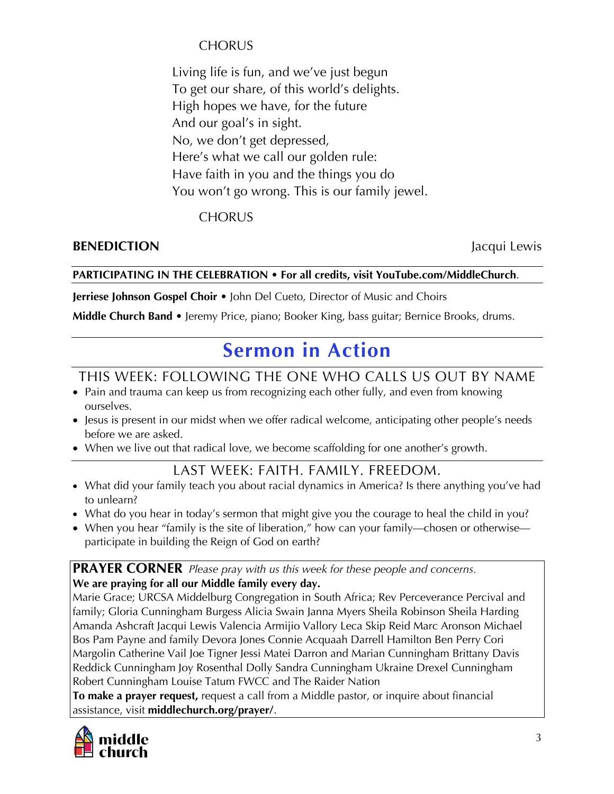# **CHORUS**

Living life is fun, and we've just begun To get our share, of this world's delights. High hopes we have, for the future And our goal's in sight. No, we don't get depressed, Here's what we call our golden rule: Have faith in you and the things you do You won't go wrong. This is our family jewel.

# **CHORUS**

# **BENEDICTION** Jacqui Lewis

# **PARTICIPATING IN THE CELEBRATION • For all credits, visit YouTube.com/MiddleChurch**.

**Jerriese Johnson Gospel Choir** • John Del Cueto, Director of Music and Choirs

**Middle Church Band** • Jeremy Price, piano; Booker King, bass guitar; Bernice Brooks, drums.

# **Sermon in Action**

# THIS WEEK: FOLLOWING THE ONE WHO CALLS US OUT BY NAME

- Pain and trauma can keep us from recognizing each other fully, and even from knowing ourselves.
- Jesus is present in our midst when we offer radical welcome, anticipating other people's needs before we are asked.
- When we live out that radical love, we become scaffolding for one another's growth.

# LAST WEEK: FAITH. FAMILY. FREEDOM.

- What did your family teach you about racial dynamics in America? Is there anything you've had to unlearn?
- What do you hear in today's sermon that might give you the courage to heal the child in you?
- When you hear "family is the site of liberation," how can your family—chosen or otherwise participate in building the Reign of God on earth?

# **PRAYER CORNER** *Please pray with us this week for these people and concerns.* **We are praying for all our Middle family every day.**

Marie Grace; URCSA Middelburg Congregation in South Africa; Rev Perceverance Percival and family; Gloria Cunningham Burgess Alicia Swain Janna Myers Sheila Robinson Sheila Harding Amanda Ashcraft Jacqui Lewis Valencia Armijio Vallory Leca Skip Reid Marc Aronson Michael Bos Pam Payne and family Devora Jones Connie Acquaah Darrell Hamilton Ben Perry Cori Margolin Catherine Vail Joe Tigner Jessi Matei Darron and Marian Cunningham Brittany Davis Reddick Cunningham Joy Rosenthal Dolly Sandra Cunningham Ukraine Drexel Cunningham Robert Cunningham Louise Tatum FWCC and The Raider Nation

**To make a prayer request,** request a call from a Middle pastor, or inquire about financial assistance, visit **middlechurch.org/prayer/**.

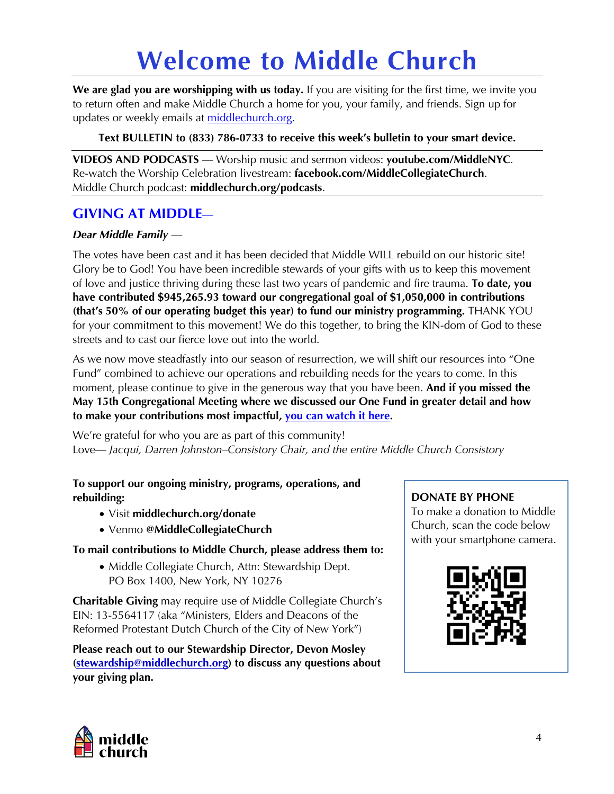# **Welcome to Middle Church**

**We are glad you are worshipping with us today.** If you are visiting for the first time, we invite you to return often and make Middle Church a home for you, your family, and friends. Sign up for updates or weekly emails at middlechurch.org.

**Text BULLETIN to (833) 786-0733 to receive this week's bulletin to your smart device.**

**VIDEOS AND PODCASTS** — Worship music and sermon videos: **youtube.com/MiddleNYC**. Re-watch the Worship Celebration livestream: **facebook.com/MiddleCollegiateChurch**. Middle Church podcast: **middlechurch.org/podcasts**.

# **GIVING AT MIDDLE**—

# *Dear Middle Family* —

The votes have been cast and it has been decided that Middle WILL rebuild on our historic site! Glory be to God! You have been incredible stewards of your gifts with us to keep this movement of love and justice thriving during these last two years of pandemic and fire trauma. **To date, you have contributed \$945,265.93 toward our congregational goal of \$1,050,000 in contributions (that's 50% of our operating budget this year) to fund our ministry programming.** THANK YOU for your commitment to this movement! We do this together, to bring the KIN-dom of God to these streets and to cast our fierce love out into the world.

As we now move steadfastly into our season of resurrection, we will shift our resources into "One Fund" combined to achieve our operations and rebuilding needs for the years to come. In this moment, please continue to give in the generous way that you have been. **And if you missed the May 15th Congregational Meeting where we discussed our One Fund in greater detail and how to make your contributions most impactful, you can watch it here.**

We're grateful for who you are as part of this community! Love— *Jacqui, Darren Johnston–Consistory Chair, and the entire Middle Church Consistory*

# **To support our ongoing ministry, programs, operations, and rebuilding:**

- Visit **middlechurch.org/donate**
- Venmo **@MiddleCollegiateChurch**

**To mail contributions to Middle Church, please address them to:**

• Middle Collegiate Church, Attn: Stewardship Dept. PO Box 1400, New York, NY 10276

**Charitable Giving** may require use of Middle Collegiate Church's EIN: 13-5564117 (aka "Ministers, Elders and Deacons of the Reformed Protestant Dutch Church of the City of New York")

**Please reach out to our Stewardship Director, Devon Mosley (stewardship@middlechurch.org) to discuss any questions about your giving plan.** 

# **DONATE BY PHONE**

To make a donation to Middle Church, scan the code below with your smartphone camera.